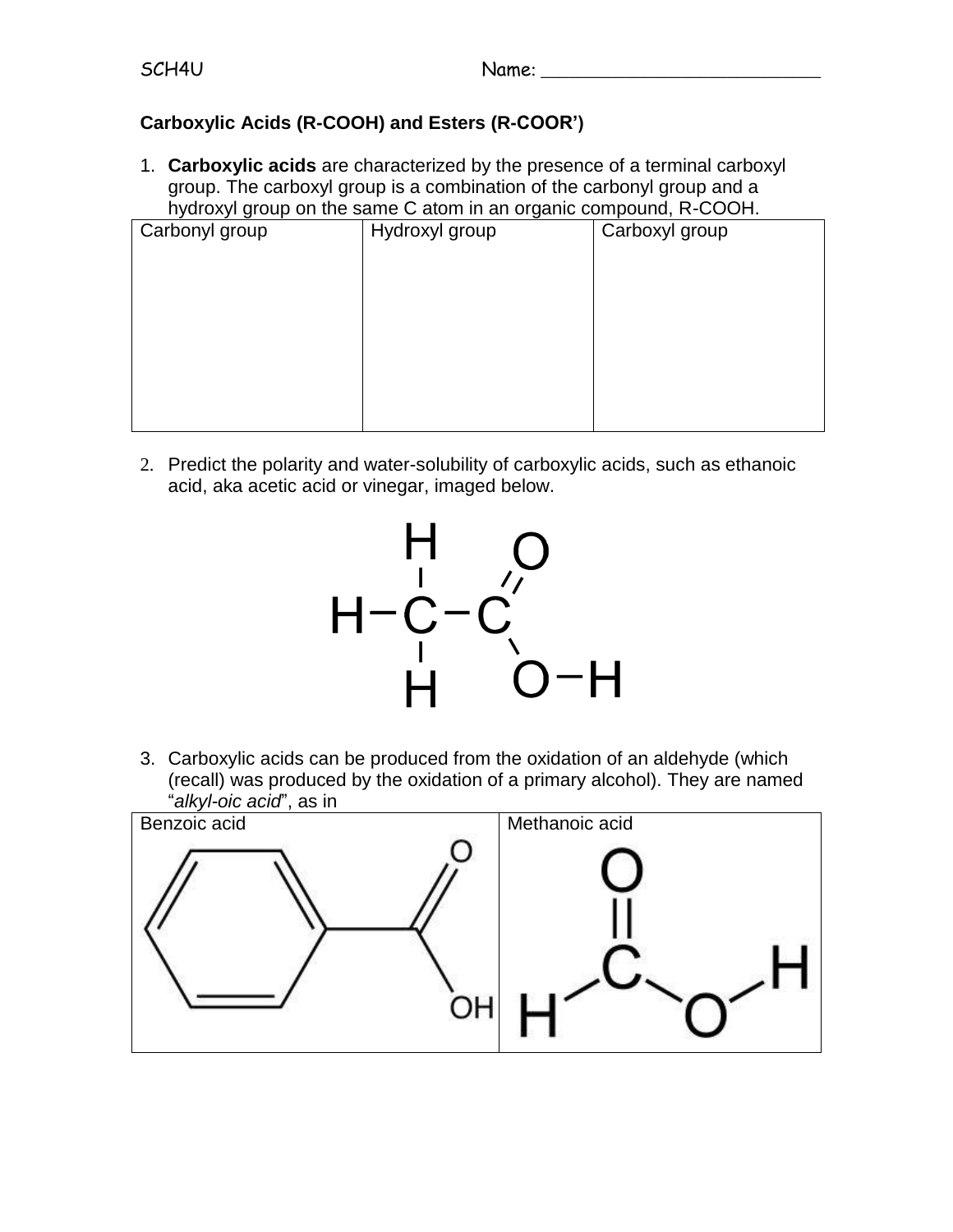## **Carboxylic Acids (R-COOH) and Esters (R-COOR')**

1. **Carboxylic acids** are characterized by the presence of a terminal carboxyl group. The carboxyl group is a combination of the carbonyl group and a hydroxyl group on the same C atom in an organic compound, R-COOH.

| Carbonyl group | Hydroxyl group | Carboxyl group |
|----------------|----------------|----------------|
|                |                |                |
|                |                |                |
|                |                |                |
|                |                |                |
|                |                |                |
|                |                |                |
|                |                |                |
|                |                |                |
|                |                |                |

2. Predict the polarity and water-solubility of carboxylic acids, such as ethanoic acid, aka acetic acid or vinegar, imaged below.



3. Carboxylic acids can be produced from the oxidation of an aldehyde (which (recall) was produced by the oxidation of a primary alcohol). They are named "*alkyl-oic acid*", as in